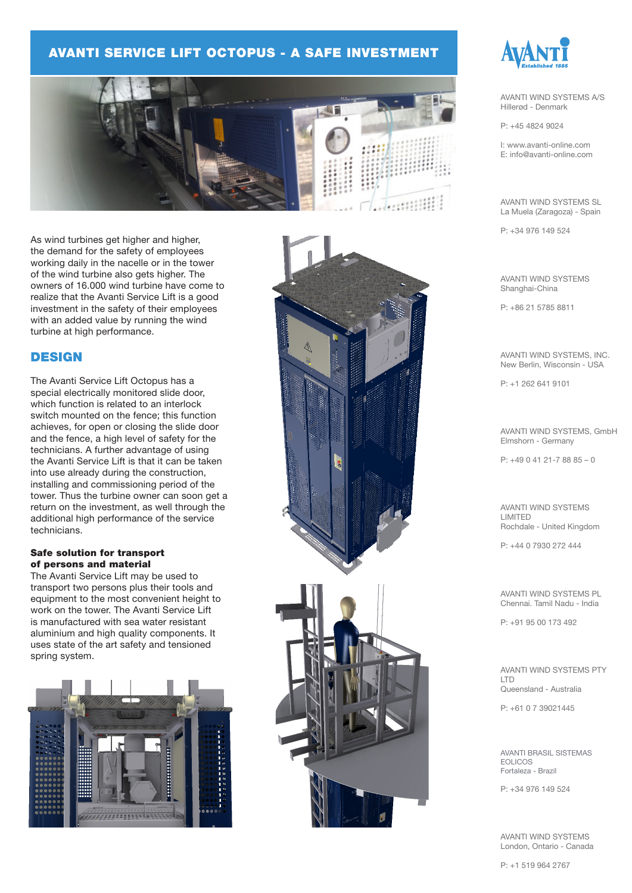### AVANTI SERVICE LIFT OCTOPUS - A SAFE INVESTMENT



As wind turbines get higher and higher, the demand for the safety of employees working daily in the nacelle or in the tower of the wind turbine also gets higher. The owners of 16.000 wind turbine have come to realize that the Avanti Service Lift is a good investment in the safety of their employees with an added value by running the wind turbine at high performance.

### **DESIGN**

The Avanti Service Lift Octopus has a special electrically monitored slide door, which function is related to an interlock switch mounted on the fence; this function achieves, for open or closing the slide door and the fence, a high level of safety for the technicians. A further advantage of using the Avanti Service Lift is that it can be taken into use already during the construction, installing and commissioning period of the tower. Thus the turbine owner can soon get a return on the investment, as well through the additional high performance of the service technicians.

#### Safe solution for transport of persons and material

The Avanti Service Lift may be used to transport two persons plus their tools and equipment to the most convenient height to work on the tower. The Avanti Service Lift is manufactured with sea water resistant aluminium and high quality components. It uses state of the art safety and tensioned spring system.







AVANTI WIND SYSTEMS A/S Hillerød - Denmark

P: +45 4824 9024

I: www.avanti-online.com E: info@avanti-online.com

AVANTI WIND SYSTEMS SL La Muela (Zaragoza) - Spain

P: +34 976 149 524

AVANTI WIND SYSTEMS Shanghai-China

P: +86 21 5785 8811

AVANTI WIND SYSTEMS, INC. New Berlin, Wisconsin - USA

P: +1 262 641 9101

AVANTI WIND SYSTEMS, GmbH Elmshorn - Germany

P: +49 0 41 21-7 88 85 – 0

AVANTI WIND SYSTEMS LIMITED Rochdale - United Kingdom

P: +44 0 7930 272 444

AVANTI WIND SYSTEMS PL Chennai. Tamil Nadu - India

P: +91 95 00 173 492

AVANTI WIND SYSTEMS PTY LTD Queensland - Australia

P: +61 0 7 39021445

AVANTI BRASIL SISTEMAS EOLICOS Fortaleza - Brazil

P: +34 976 149 524

AVANTI WIND SYSTEMS London, Ontario - Canada

P: +1 519 964 2767